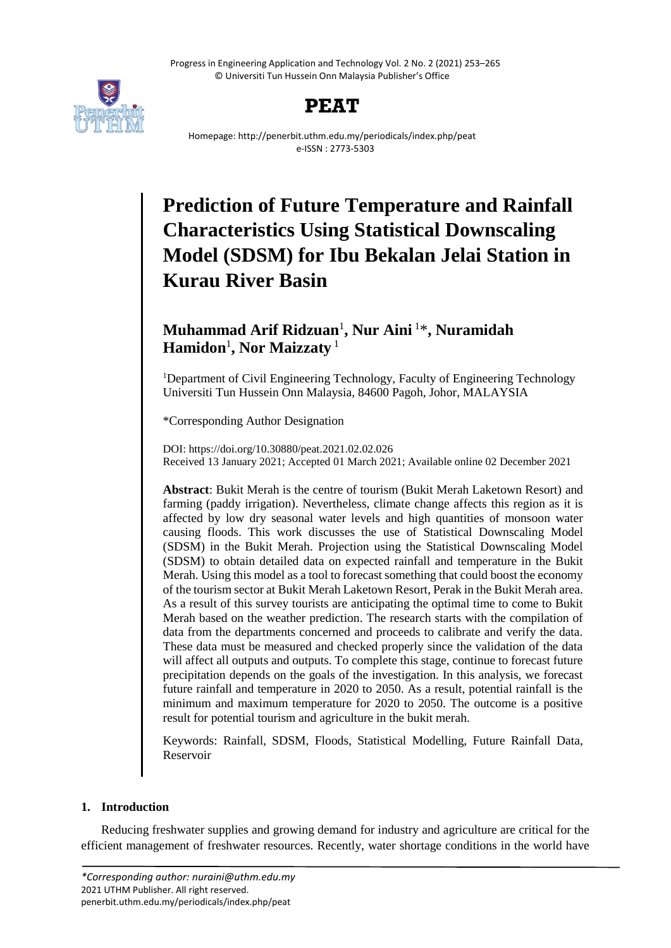Progress in Engineering Application and Technology Vol. 2 No. 2 (2021) 253–265 © Universiti Tun Hussein Onn Malaysia Publisher's Office





Homepage: http://penerbit.uthm.edu.my/periodicals/index.php/peat e-ISSN : 2773-5303

# **Prediction of Future Temperature and Rainfall Characteristics Using Statistical Downscaling Model (SDSM) for Ibu Bekalan Jelai Station in Kurau River Basin**

# **Muhammad Arif Ridzuan**<sup>1</sup> **, Nur Aini** <sup>1</sup>\* **, Nuramidah**  $\mathbf{Hamidon}^{1}$ , Nor Maizzaty  $^{1}$

<sup>1</sup>Department of Civil Engineering Technology, Faculty of Engineering Technology Universiti Tun Hussein Onn Malaysia, 84600 Pagoh, Johor, MALAYSIA

\*Corresponding Author Designation

DOI: https://doi.org/10.30880/peat.2021.02.02.026 Received 13 January 2021; Accepted 01 March 2021; Available online 02 December 2021

**Abstract**: Bukit Merah is the centre of tourism (Bukit Merah Laketown Resort) and farming (paddy irrigation). Nevertheless, climate change affects this region as it is affected by low dry seasonal water levels and high quantities of monsoon water causing floods. This work discusses the use of Statistical Downscaling Model (SDSM) in the Bukit Merah. Projection using the Statistical Downscaling Model (SDSM) to obtain detailed data on expected rainfall and temperature in the Bukit Merah. Using this model as a tool to forecast something that could boost the economy of the tourism sector at Bukit Merah Laketown Resort, Perak in the Bukit Merah area. As a result of this survey tourists are anticipating the optimal time to come to Bukit Merah based on the weather prediction. The research starts with the compilation of data from the departments concerned and proceeds to calibrate and verify the data. These data must be measured and checked properly since the validation of the data will affect all outputs and outputs. To complete this stage, continue to forecast future precipitation depends on the goals of the investigation. In this analysis, we forecast future rainfall and temperature in 2020 to 2050. As a result, potential rainfall is the minimum and maximum temperature for 2020 to 2050. The outcome is a positive result for potential tourism and agriculture in the bukit merah.

Keywords: Rainfall, SDSM, Floods, Statistical Modelling, Future Rainfall Data, Reservoir

# **1. Introduction**

Reducing freshwater supplies and growing demand for industry and agriculture are critical for the efficient management of freshwater resources. Recently, water shortage conditions in the world have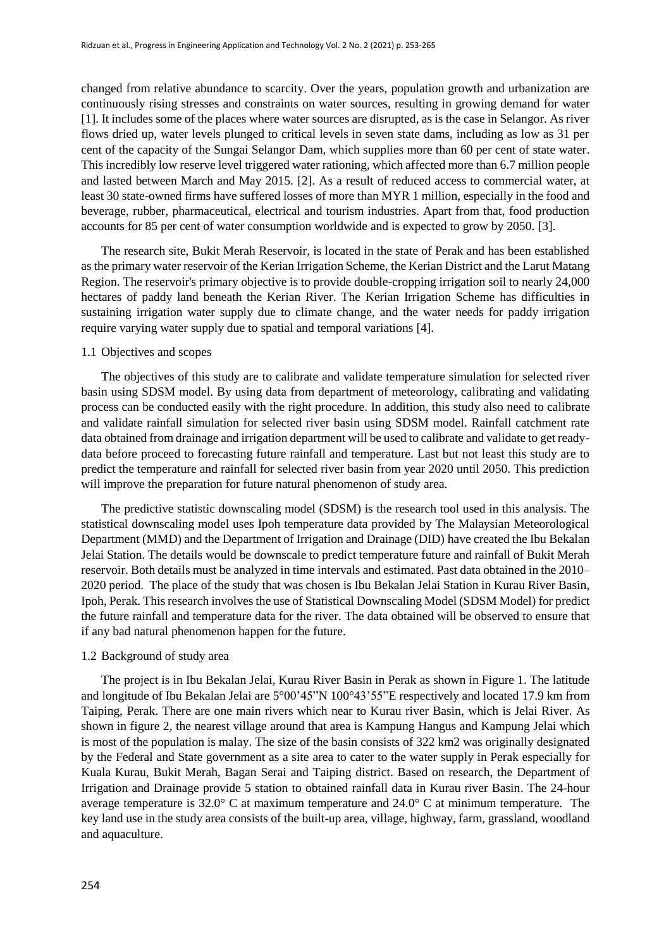changed from relative abundance to scarcity. Over the years, population growth and urbanization are continuously rising stresses and constraints on water sources, resulting in growing demand for water [1]. It includes some of the places where water sources are disrupted, as is the case in Selangor. As river flows dried up, water levels plunged to critical levels in seven state dams, including as low as 31 per cent of the capacity of the Sungai Selangor Dam, which supplies more than 60 per cent of state water. This incredibly low reserve level triggered water rationing, which affected more than 6.7 million people and lasted between March and May 2015. [2]. As a result of reduced access to commercial water, at least 30 state-owned firms have suffered losses of more than MYR 1 million, especially in the food and beverage, rubber, pharmaceutical, electrical and tourism industries. Apart from that, food production accounts for 85 per cent of water consumption worldwide and is expected to grow by 2050. [3].

The research site, Bukit Merah Reservoir, is located in the state of Perak and has been established as the primary water reservoir of the Kerian Irrigation Scheme, the Kerian District and the Larut Matang Region. The reservoir's primary objective is to provide double-cropping irrigation soil to nearly 24,000 hectares of paddy land beneath the Kerian River. The Kerian Irrigation Scheme has difficulties in sustaining irrigation water supply due to climate change, and the water needs for paddy irrigation require varying water supply due to spatial and temporal variations [4].

## 1.1 Objectives and scopes

The objectives of this study are to calibrate and validate temperature simulation for selected river basin using SDSM model. By using data from department of meteorology, calibrating and validating process can be conducted easily with the right procedure. In addition, this study also need to calibrate and validate rainfall simulation for selected river basin using SDSM model. Rainfall catchment rate data obtained from drainage and irrigation department will be used to calibrate and validate to get readydata before proceed to forecasting future rainfall and temperature. Last but not least this study are to predict the temperature and rainfall for selected river basin from year 2020 until 2050. This prediction will improve the preparation for future natural phenomenon of study area.

The predictive statistic downscaling model (SDSM) is the research tool used in this analysis. The statistical downscaling model uses Ipoh temperature data provided by The Malaysian Meteorological Department (MMD) and the Department of Irrigation and Drainage (DID) have created the Ibu Bekalan Jelai Station. The details would be downscale to predict temperature future and rainfall of Bukit Merah reservoir. Both details must be analyzed in time intervals and estimated. Past data obtained in the 2010– 2020 period. The place of the study that was chosen is Ibu Bekalan Jelai Station in Kurau River Basin, Ipoh, Perak. This research involves the use of Statistical Downscaling Model (SDSM Model) for predict the future rainfall and temperature data for the river. The data obtained will be observed to ensure that if any bad natural phenomenon happen for the future.

#### 1.2 Background of study area

The project is in Ibu Bekalan Jelai, Kurau River Basin in Perak as shown in Figure 1. The latitude and longitude of Ibu Bekalan Jelai are 5°00'45"N 100°43'55"E respectively and located 17.9 km from Taiping, Perak. There are one main rivers which near to Kurau river Basin, which is Jelai River. As shown in figure 2, the nearest village around that area is Kampung Hangus and Kampung Jelai which is most of the population is malay. The size of the basin consists of 322 km2 was originally designated by the Federal and State government as a site area to cater to the water supply in Perak especially for Kuala Kurau, Bukit Merah, Bagan Serai and Taiping district. Based on research, the Department of Irrigation and Drainage provide 5 station to obtained rainfall data in Kurau river Basin. The 24-hour average temperature is 32.0° C at maximum temperature and 24.0° C at minimum temperature. The key land use in the study area consists of the built-up area, village, highway, farm, grassland, woodland and aquaculture.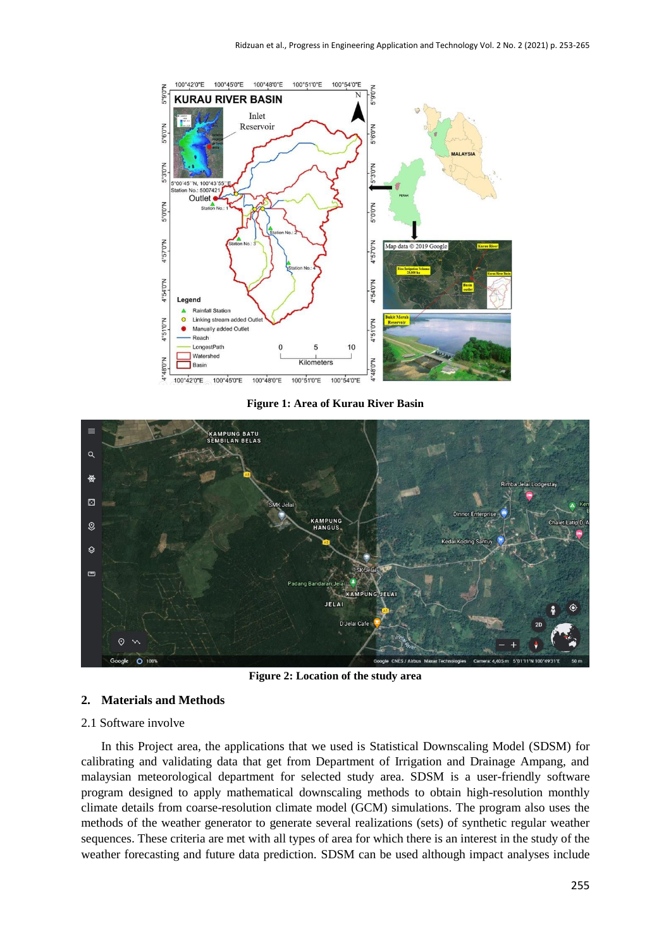

**Figure 1: Area of Kurau River Basin**



**Figure 2: Location of the study area**

# **2. Materials and Methods**

## 2.1 Software involve

In this Project area, the applications that we used is Statistical Downscaling Model (SDSM) for calibrating and validating data that get from Department of Irrigation and Drainage Ampang, and malaysian meteorological department for selected study area. SDSM is a user-friendly software program designed to apply mathematical downscaling methods to obtain high-resolution monthly climate details from coarse-resolution climate model (GCM) simulations. The program also uses the methods of the weather generator to generate several realizations (sets) of synthetic regular weather sequences. These criteria are met with all types of area for which there is an interest in the study of the weather forecasting and future data prediction. SDSM can be used although impact analyses include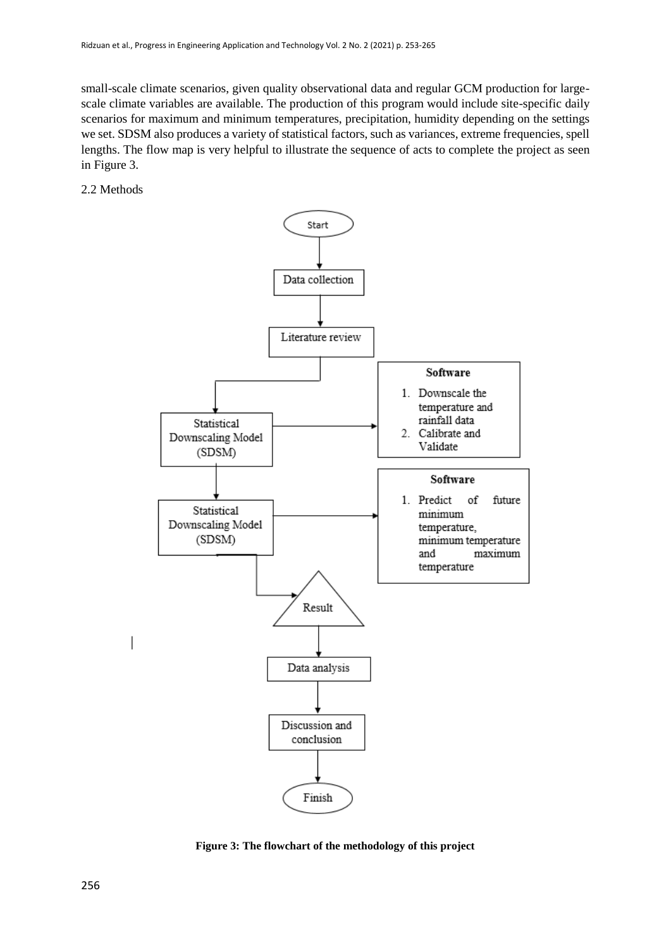small-scale climate scenarios, given quality observational data and regular GCM production for largescale climate variables are available. The production of this program would include site-specific daily scenarios for maximum and minimum temperatures, precipitation, humidity depending on the settings we set. SDSM also produces a variety of statistical factors, such as variances, extreme frequencies, spell lengths. The flow map is very helpful to illustrate the sequence of acts to complete the project as seen in Figure 3.

2.2 Methods



**Figure 3: The flowchart of the methodology of this project**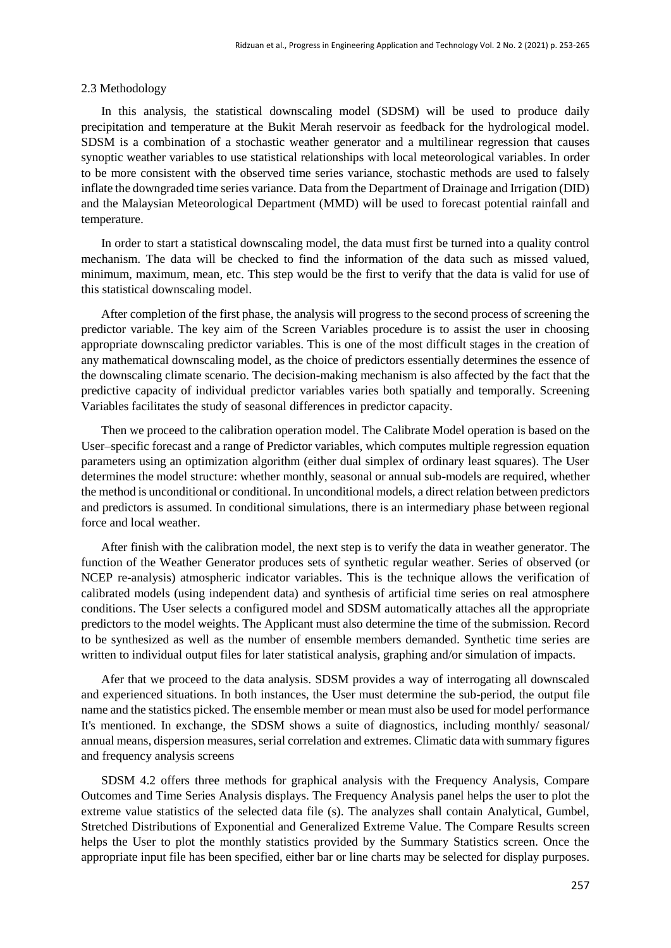#### 2.3 Methodology

In this analysis, the statistical downscaling model (SDSM) will be used to produce daily precipitation and temperature at the Bukit Merah reservoir as feedback for the hydrological model. SDSM is a combination of a stochastic weather generator and a multilinear regression that causes synoptic weather variables to use statistical relationships with local meteorological variables. In order to be more consistent with the observed time series variance, stochastic methods are used to falsely inflate the downgraded time series variance. Data from the Department of Drainage and Irrigation (DID) and the Malaysian Meteorological Department (MMD) will be used to forecast potential rainfall and temperature.

In order to start a statistical downscaling model, the data must first be turned into a quality control mechanism. The data will be checked to find the information of the data such as missed valued, minimum, maximum, mean, etc. This step would be the first to verify that the data is valid for use of this statistical downscaling model.

After completion of the first phase, the analysis will progress to the second process of screening the predictor variable. The key aim of the Screen Variables procedure is to assist the user in choosing appropriate downscaling predictor variables. This is one of the most difficult stages in the creation of any mathematical downscaling model, as the choice of predictors essentially determines the essence of the downscaling climate scenario. The decision-making mechanism is also affected by the fact that the predictive capacity of individual predictor variables varies both spatially and temporally. Screening Variables facilitates the study of seasonal differences in predictor capacity.

Then we proceed to the calibration operation model. The Calibrate Model operation is based on the User–specific forecast and a range of Predictor variables, which computes multiple regression equation parameters using an optimization algorithm (either dual simplex of ordinary least squares). The User determines the model structure: whether monthly, seasonal or annual sub-models are required, whether the method is unconditional or conditional. In unconditional models, a direct relation between predictors and predictors is assumed. In conditional simulations, there is an intermediary phase between regional force and local weather.

After finish with the calibration model, the next step is to verify the data in weather generator. The function of the Weather Generator produces sets of synthetic regular weather. Series of observed (or NCEP re-analysis) atmospheric indicator variables. This is the technique allows the verification of calibrated models (using independent data) and synthesis of artificial time series on real atmosphere conditions. The User selects a configured model and SDSM automatically attaches all the appropriate predictors to the model weights. The Applicant must also determine the time of the submission. Record to be synthesized as well as the number of ensemble members demanded. Synthetic time series are written to individual output files for later statistical analysis, graphing and/or simulation of impacts.

Afer that we proceed to the data analysis. SDSM provides a way of interrogating all downscaled and experienced situations. In both instances, the User must determine the sub-period, the output file name and the statistics picked. The ensemble member or mean must also be used for model performance It's mentioned. In exchange, the SDSM shows a suite of diagnostics, including monthly/ seasonal/ annual means, dispersion measures, serial correlation and extremes. Climatic data with summary figures and frequency analysis screens

SDSM 4.2 offers three methods for graphical analysis with the Frequency Analysis, Compare Outcomes and Time Series Analysis displays. The Frequency Analysis panel helps the user to plot the extreme value statistics of the selected data file (s). The analyzes shall contain Analytical, Gumbel, Stretched Distributions of Exponential and Generalized Extreme Value. The Compare Results screen helps the User to plot the monthly statistics provided by the Summary Statistics screen. Once the appropriate input file has been specified, either bar or line charts may be selected for display purposes.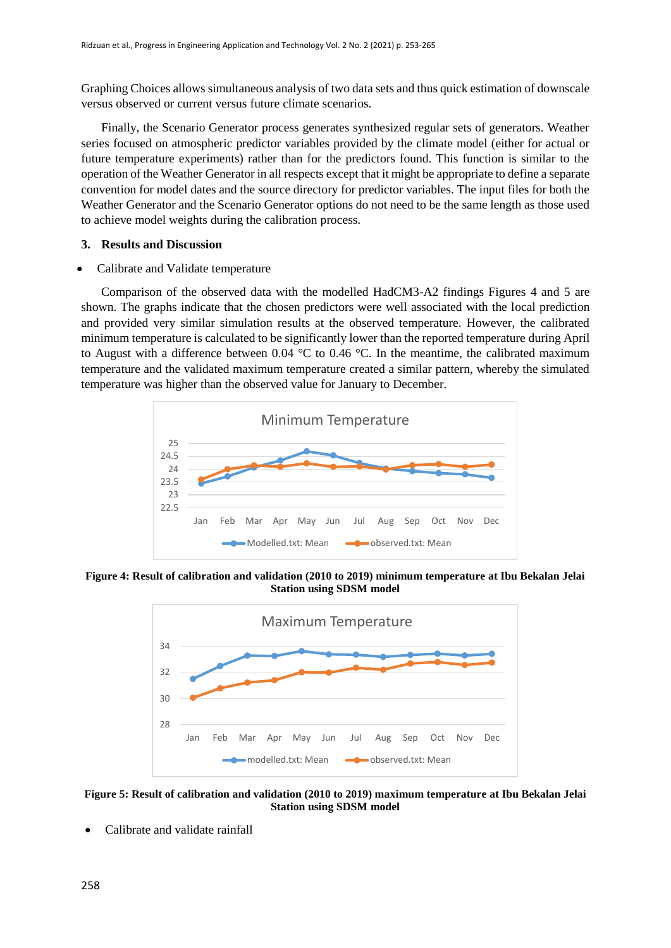Graphing Choices allows simultaneous analysis of two data sets and thus quick estimation of downscale versus observed or current versus future climate scenarios.

Finally, the Scenario Generator process generates synthesized regular sets of generators. Weather series focused on atmospheric predictor variables provided by the climate model (either for actual or future temperature experiments) rather than for the predictors found. This function is similar to the operation of the Weather Generator in all respects except that it might be appropriate to define a separate convention for model dates and the source directory for predictor variables. The input files for both the Weather Generator and the Scenario Generator options do not need to be the same length as those used to achieve model weights during the calibration process.

# **3. Results and Discussion**

Calibrate and Validate temperature

Comparison of the observed data with the modelled HadCM3-A2 findings Figures 4 and 5 are shown. The graphs indicate that the chosen predictors were well associated with the local prediction and provided very similar simulation results at the observed temperature. However, the calibrated minimum temperature is calculated to be significantly lower than the reported temperature during April to August with a difference between 0.04  $^{\circ}$ C to 0.46  $^{\circ}$ C. In the meantime, the calibrated maximum temperature and the validated maximum temperature created a similar pattern, whereby the simulated temperature was higher than the observed value for January to December.



**Figure 4: Result of calibration and validation (2010 to 2019) minimum temperature at Ibu Bekalan Jelai Station using SDSM model**



**Figure 5: Result of calibration and validation (2010 to 2019) maximum temperature at Ibu Bekalan Jelai Station using SDSM model**

Calibrate and validate rainfall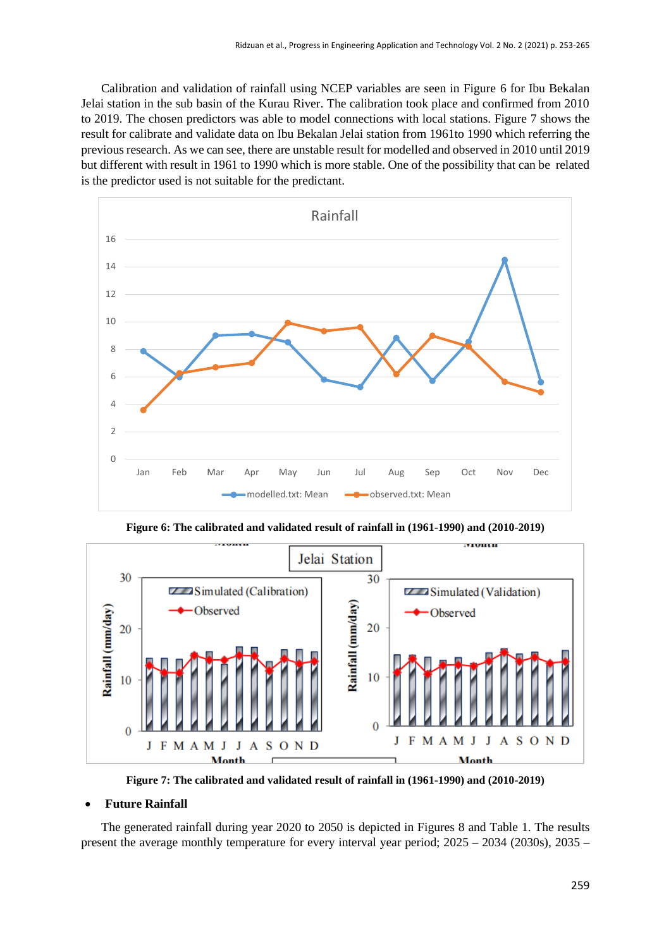Calibration and validation of rainfall using NCEP variables are seen in Figure 6 for Ibu Bekalan Jelai station in the sub basin of the Kurau River. The calibration took place and confirmed from 2010 to 2019. The chosen predictors was able to model connections with local stations. Figure 7 shows the result for calibrate and validate data on Ibu Bekalan Jelai station from 1961to 1990 which referring the previous research. As we can see, there are unstable result for modelled and observed in 2010 until 2019 but different with result in 1961 to 1990 which is more stable. One of the possibility that can be related is the predictor used is not suitable for the predictant.



**Figure 6: The calibrated and validated result of rainfall in (1961-1990) and (2010-2019)**



**Figure 7: The calibrated and validated result of rainfall in (1961-1990) and (2010-2019)**

# **Future Rainfall**

The generated rainfall during year 2020 to 2050 is depicted in Figures 8 and Table 1. The results present the average monthly temperature for every interval year period; 2025 – 2034 (2030s), 2035 –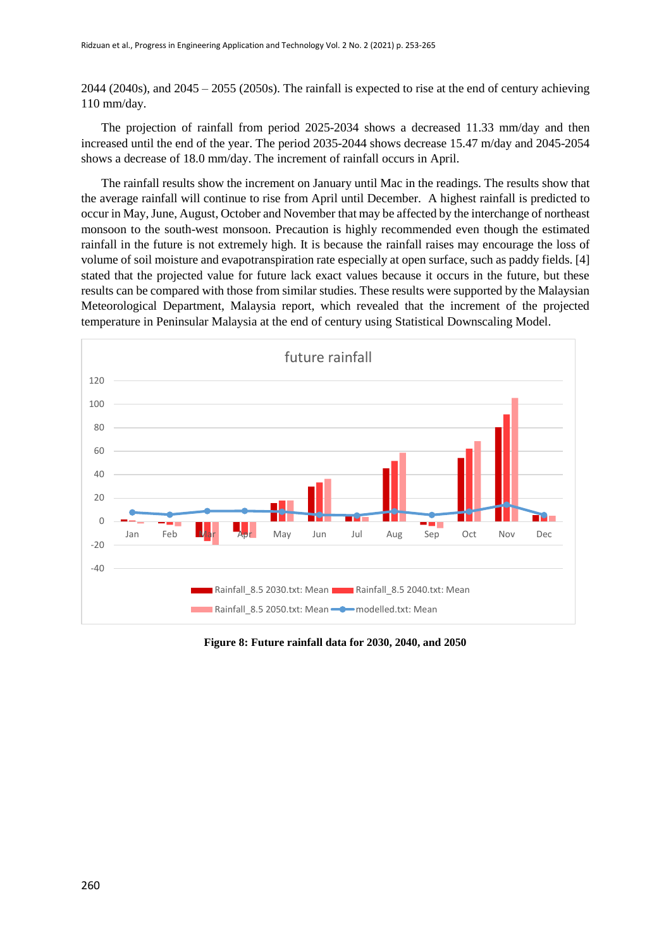2044 (2040s), and 2045 – 2055 (2050s). The rainfall is expected to rise at the end of century achieving 110 mm/day.

The projection of rainfall from period 2025-2034 shows a decreased 11.33 mm/day and then increased until the end of the year. The period 2035-2044 shows decrease 15.47 m/day and 2045-2054 shows a decrease of 18.0 mm/day. The increment of rainfall occurs in April.

The rainfall results show the increment on January until Mac in the readings. The results show that the average rainfall will continue to rise from April until December. A highest rainfall is predicted to occur in May, June, August, October and November that may be affected by the interchange of northeast monsoon to the south-west monsoon. Precaution is highly recommended even though the estimated rainfall in the future is not extremely high. It is because the rainfall raises may encourage the loss of volume of soil moisture and evapotranspiration rate especially at open surface, such as paddy fields. [4] stated that the projected value for future lack exact values because it occurs in the future, but these results can be compared with those from similar studies. These results were supported by the Malaysian Meteorological Department, Malaysia report, which revealed that the increment of the projected temperature in Peninsular Malaysia at the end of century using Statistical Downscaling Model.



**Figure 8: Future rainfall data for 2030, 2040, and 2050**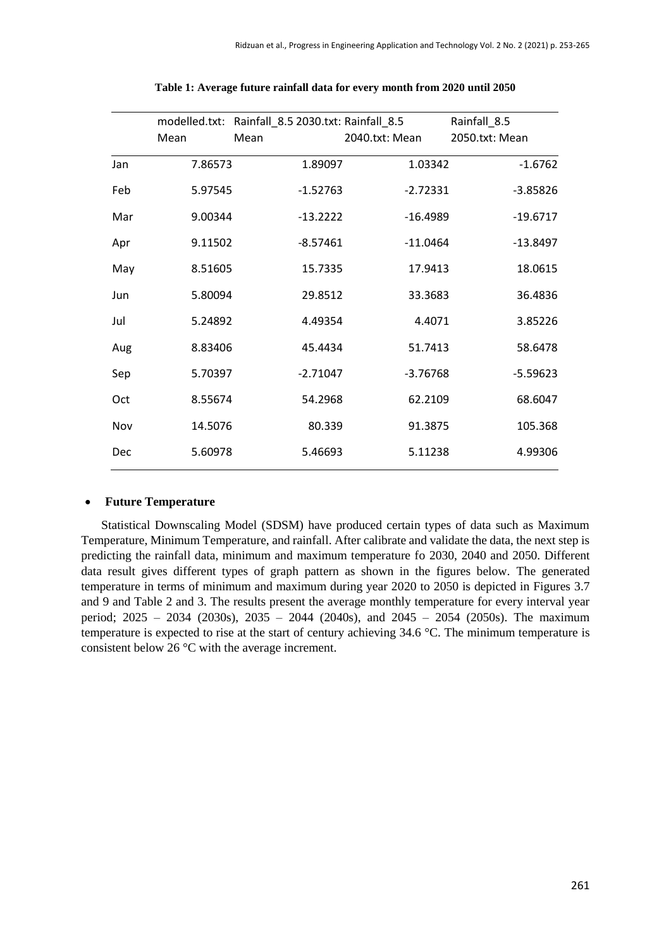|     | modelled.txt: | Rainfall_8.5 2030.txt: Rainfall_8.5 |                | Rainfall_8.5   |
|-----|---------------|-------------------------------------|----------------|----------------|
|     | Mean          | Mean                                | 2040.txt: Mean | 2050.txt: Mean |
| Jan | 7.86573       | 1.89097                             | 1.03342        | $-1.6762$      |
| Feb | 5.97545       | $-1.52763$                          | $-2.72331$     | $-3.85826$     |
| Mar | 9.00344       | $-13.2222$                          | $-16.4989$     | $-19.6717$     |
| Apr | 9.11502       | $-8.57461$                          | $-11.0464$     | $-13.8497$     |
| May | 8.51605       | 15.7335                             | 17.9413        | 18.0615        |
| Jun | 5.80094       | 29.8512                             | 33.3683        | 36.4836        |
| Jul | 5.24892       | 4.49354                             | 4.4071         | 3.85226        |
| Aug | 8.83406       | 45.4434                             | 51.7413        | 58.6478        |
| Sep | 5.70397       | $-2.71047$                          | $-3.76768$     | $-5.59623$     |
| Oct | 8.55674       | 54.2968                             | 62.2109        | 68.6047        |
| Nov | 14.5076       | 80.339                              | 91.3875        | 105.368        |
| Dec | 5.60978       | 5.46693                             | 5.11238        | 4.99306        |

**Table 1: Average future rainfall data for every month from 2020 until 2050**

# **Future Temperature**

Statistical Downscaling Model (SDSM) have produced certain types of data such as Maximum Temperature, Minimum Temperature, and rainfall. After calibrate and validate the data, the next step is predicting the rainfall data, minimum and maximum temperature fo 2030, 2040 and 2050. Different data result gives different types of graph pattern as shown in the figures below. The generated temperature in terms of minimum and maximum during year 2020 to 2050 is depicted in Figures 3.7 and 9 and Table 2 and 3. The results present the average monthly temperature for every interval year period; 2025 – 2034 (2030s), 2035 – 2044 (2040s), and 2045 – 2054 (2050s). The maximum temperature is expected to rise at the start of century achieving 34.6 °C. The minimum temperature is consistent below 26 °C with the average increment.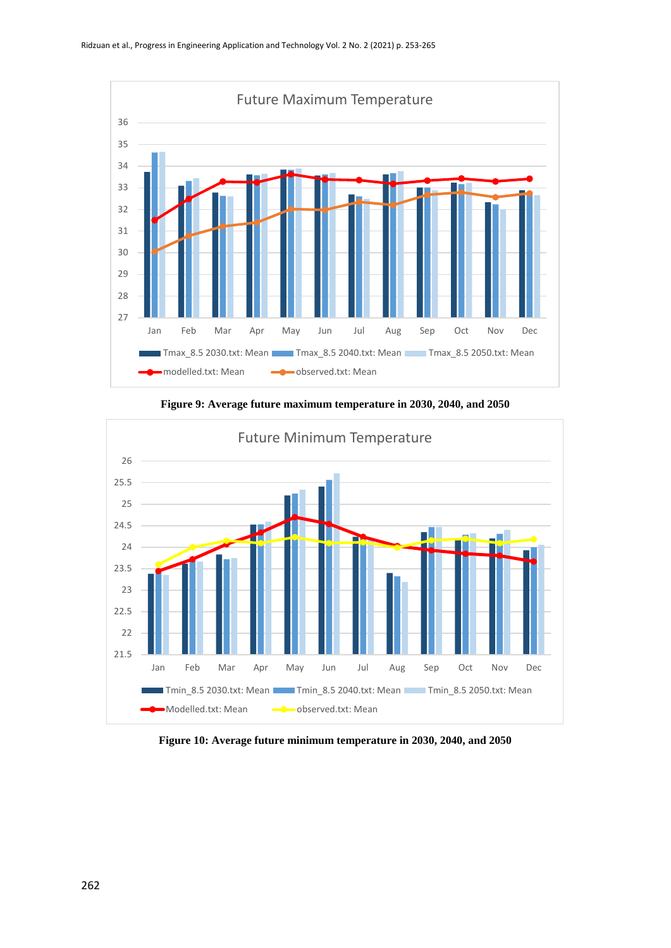



**Figure 9: Average future maximum temperature in 2030, 2040, and 2050**

**Figure 10: Average future minimum temperature in 2030, 2040, and 2050**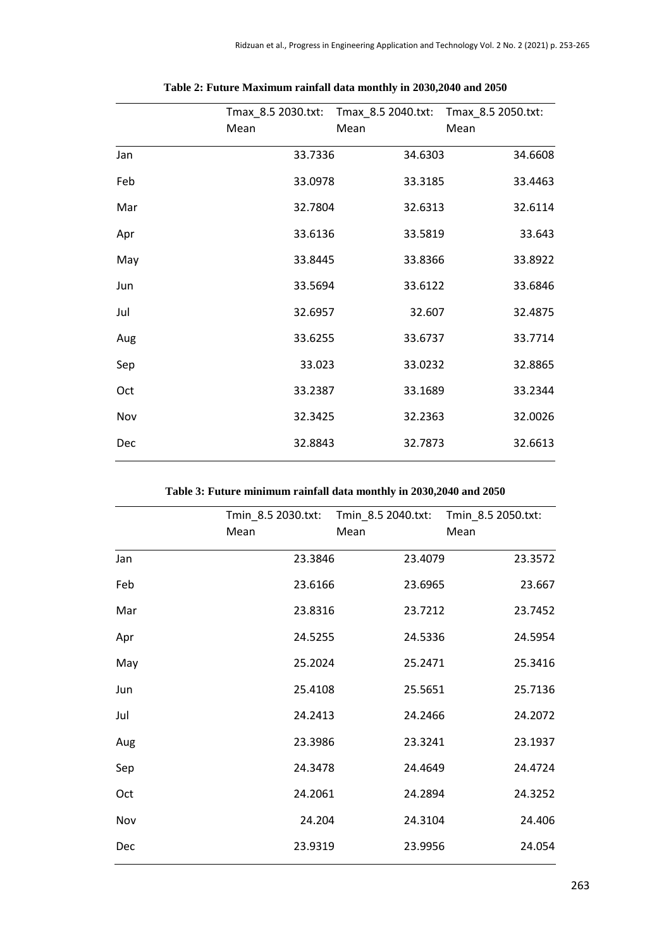|     | Tmax_8.5 2030.txt: | Tmax_8.5 2040.txt: | Tmax_8.5 2050.txt: |
|-----|--------------------|--------------------|--------------------|
|     | Mean               | Mean               | Mean               |
| Jan | 33.7336            | 34.6303            | 34.6608            |
| Feb | 33.0978            | 33.3185            | 33.4463            |
| Mar | 32.7804            | 32.6313            | 32.6114            |
| Apr | 33.6136            | 33.5819            | 33.643             |
| May | 33.8445            | 33.8366            | 33.8922            |
| Jun | 33.5694            | 33.6122            | 33.6846            |
| Jul | 32.6957            | 32.607             | 32.4875            |
| Aug | 33.6255            | 33.6737            | 33.7714            |
| Sep | 33.023             | 33.0232            | 32.8865            |
| Oct | 33.2387            | 33.1689            | 33.2344            |
| Nov | 32.3425            | 32.2363            | 32.0026            |
| Dec | 32.8843            | 32.7873            | 32.6613            |

|  | Table 2: Future Maximum rainfall data monthly in 2030,2040 and 2050 |  |  |  |  |
|--|---------------------------------------------------------------------|--|--|--|--|
|  |                                                                     |  |  |  |  |

**Table 3: Future minimum rainfall data monthly in 2030,2040 and 2050**

|     | Tmin_8.5 2030.txt: Tmin_8.5 2040.txt:<br>Mean | Mean    | Tmin_8.5 2050.txt:<br>Mean |
|-----|-----------------------------------------------|---------|----------------------------|
| Jan | 23.3846                                       | 23.4079 | 23.3572                    |
| Feb | 23.6166                                       | 23.6965 | 23.667                     |
| Mar | 23.8316                                       | 23.7212 | 23.7452                    |
| Apr | 24.5255                                       | 24.5336 | 24.5954                    |
| May | 25.2024                                       | 25.2471 | 25.3416                    |
| Jun | 25.4108                                       | 25.5651 | 25.7136                    |
| Jul | 24.2413                                       | 24.2466 | 24.2072                    |
| Aug | 23.3986                                       | 23.3241 | 23.1937                    |
| Sep | 24.3478                                       | 24.4649 | 24.4724                    |
| Oct | 24.2061                                       | 24.2894 | 24.3252                    |
| Nov | 24.204                                        | 24.3104 | 24.406                     |
| Dec | 23.9319                                       | 23.9956 | 24.054                     |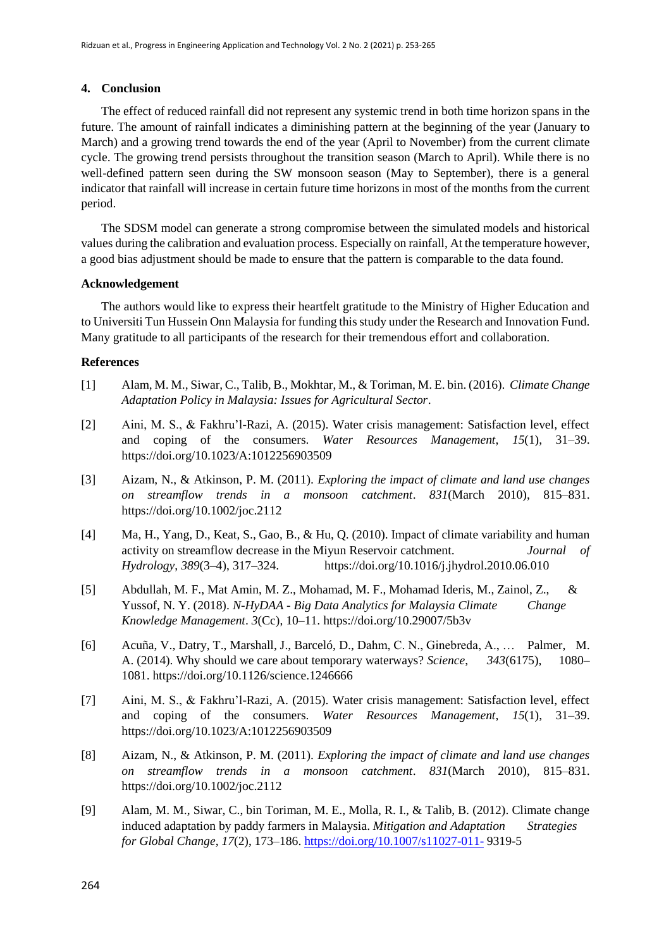#### **4. Conclusion**

The effect of reduced rainfall did not represent any systemic trend in both time horizon spans in the future. The amount of rainfall indicates a diminishing pattern at the beginning of the year (January to March) and a growing trend towards the end of the year (April to November) from the current climate cycle. The growing trend persists throughout the transition season (March to April). While there is no well-defined pattern seen during the SW monsoon season (May to September), there is a general indicator that rainfall will increase in certain future time horizons in most of the months from the current period.

The SDSM model can generate a strong compromise between the simulated models and historical values during the calibration and evaluation process. Especially on rainfall, At the temperature however, a good bias adjustment should be made to ensure that the pattern is comparable to the data found.

#### **Acknowledgement**

The authors would like to express their heartfelt gratitude to the Ministry of Higher Education and to Universiti Tun Hussein Onn Malaysia for funding this study under the Research and Innovation Fund. Many gratitude to all participants of the research for their tremendous effort and collaboration.

# **References**

- [1] Alam, M. M., Siwar, C., Talib, B., Mokhtar, M., & Toriman, M. E. bin. (2016). *Climate Change Adaptation Policy in Malaysia: Issues for Agricultural Sector*.
- [2] Aini, M. S., & Fakhru'l-Razi, A. (2015). Water crisis management: Satisfaction level, effect and coping of the consumers. *Water Resources Management*, *15*(1), 31–39. https://doi.org/10.1023/A:1012256903509
- [3] Aizam, N., & Atkinson, P. M. (2011). *Exploring the impact of climate and land use changes on streamflow trends in a monsoon catchment*. *831*(March 2010), 815–831. https://doi.org/10.1002/joc.2112
- [4] Ma, H., Yang, D., Keat, S., Gao, B., & Hu, Q. (2010). Impact of climate variability and human activity on streamflow decrease in the Miyun Reservoir catchment. *Journal of Hydrology*, *389*(3–4), 317–324. https://doi.org/10.1016/j.jhydrol.2010.06.010
- [5] Abdullah, M. F., Mat Amin, M. Z., Mohamad, M. F., Mohamad Ideris, M., Zainol, Z., & Yussof, N. Y. (2018). *N-HyDAA - Big Data Analytics for Malaysia Climate Change Knowledge Management*. *3*(Cc), 10–11. https://doi.org/10.29007/5b3v
- [6] Acuña, V., Datry, T., Marshall, J., Barceló, D., Dahm, C. N., Ginebreda, A., … Palmer, M. A. (2014). Why should we care about temporary waterways? *Science*, *343*(6175), 1080– 1081. https://doi.org/10.1126/science.1246666
- [7] Aini, M. S., & Fakhru'l-Razi, A. (2015). Water crisis management: Satisfaction level, effect and coping of the consumers. *Water Resources Management*, *15*(1), 31–39. https://doi.org/10.1023/A:1012256903509
- [8] Aizam, N., & Atkinson, P. M. (2011). *Exploring the impact of climate and land use changes on streamflow trends in a monsoon catchment*. *831*(March 2010), 815–831. https://doi.org/10.1002/joc.2112
- [9] Alam, M. M., Siwar, C., bin Toriman, M. E., Molla, R. I., & Talib, B. (2012). Climate change induced adaptation by paddy farmers in Malaysia. *Mitigation and Adaptation Strategies for Global Change*, *17*(2), 173–186.<https://doi.org/10.1007/s11027-011-> 9319-5